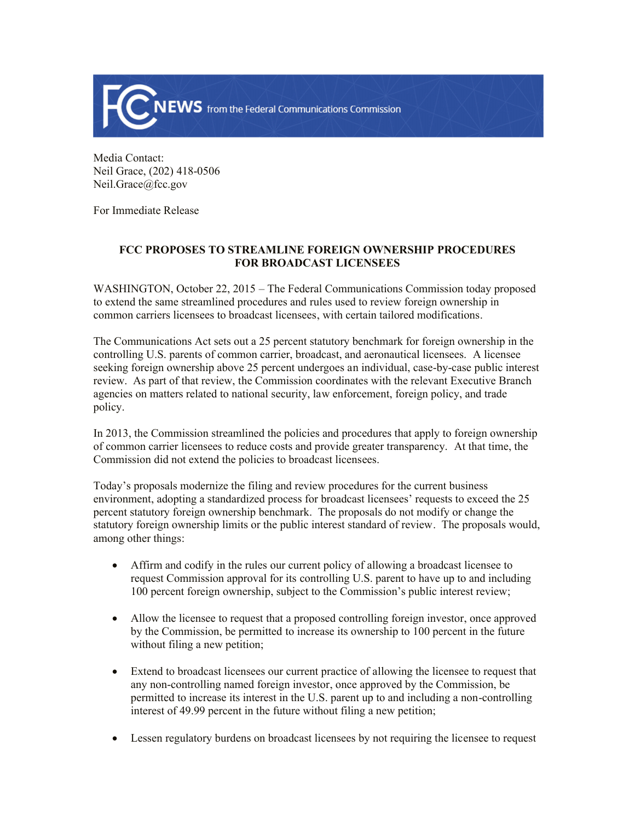

Media Contact: Neil Grace, (202) 418-0506 Neil.Grace@fcc.gov

For Immediate Release

## **FCC PROPOSES TO STREAMLINE FOREIGN OWNERSHIP PROCEDURES FOR BROADCAST LICENSEES**

WASHINGTON, October 22, 2015 – The Federal Communications Commission today proposed to extend the same streamlined procedures and rules used to review foreign ownership in common carriers licensees to broadcast licensees, with certain tailored modifications.

The Communications Act sets out a 25 percent statutory benchmark for foreign ownership in the controlling U.S. parents of common carrier, broadcast, and aeronautical licensees. A licensee seeking foreign ownership above 25 percent undergoes an individual, case-by-case public interest review. As part of that review, the Commission coordinates with the relevant Executive Branch agencies on matters related to national security, law enforcement, foreign policy, and trade policy.

In 2013, the Commission streamlined the policies and procedures that apply to foreign ownership of common carrier licensees to reduce costs and provide greater transparency. At that time, the Commission did not extend the policies to broadcast licensees.

Today's proposals modernize the filing and review procedures for the current business environment, adopting a standardized process for broadcast licensees' requests to exceed the 25 percent statutory foreign ownership benchmark. The proposals do not modify or change the statutory foreign ownership limits or the public interest standard of review. The proposals would, among other things:

- Affirm and codify in the rules our current policy of allowing a broadcast licensee to request Commission approval for its controlling U.S. parent to have up to and including 100 percent foreign ownership, subject to the Commission's public interest review;
- Allow the licensee to request that a proposed controlling foreign investor, once approved by the Commission, be permitted to increase its ownership to 100 percent in the future without filing a new petition;
- Extend to broadcast licensees our current practice of allowing the licensee to request that any non-controlling named foreign investor, once approved by the Commission, be permitted to increase its interest in the U.S. parent up to and including a non-controlling interest of 49.99 percent in the future without filing a new petition;
- Lessen regulatory burdens on broadcast licensees by not requiring the licensee to request